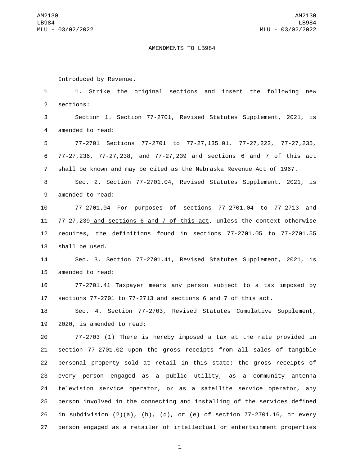## AMENDMENTS TO LB984

Introduced by Revenue.

 1. Strike the original sections and insert the following new 2 sections: Section 1. Section 77-2701, Revised Statutes Supplement, 2021, is 4 amended to read: 77-2701 Sections 77-2701 to 77-27,135.01, 77-27,222, 77-27,235, 77-27,236, 77-27,238, and 77-27,239 and sections 6 and 7 of this act shall be known and may be cited as the Nebraska Revenue Act of 1967. Sec. 2. Section 77-2701.04, Revised Statutes Supplement, 2021, is 9 amended to read: 77-2701.04 For purposes of sections 77-2701.04 to 77-2713 and 77-27,239 and sections 6 and 7 of this act, unless the context otherwise requires, the definitions found in sections 77-2701.05 to 77-2701.55 13 shall be used. Sec. 3. Section 77-2701.41, Revised Statutes Supplement, 2021, is 15 amended to read: 77-2701.41 Taxpayer means any person subject to a tax imposed by sections 77-2701 to 77-2713 and sections 6 and 7 of this act. Sec. 4. Section 77-2703, Revised Statutes Cumulative Supplement, 19 2020, is amended to read: 77-2703 (1) There is hereby imposed a tax at the rate provided in section 77-2701.02 upon the gross receipts from all sales of tangible personal property sold at retail in this state; the gross receipts of every person engaged as a public utility, as a community antenna television service operator, or as a satellite service operator, any person involved in the connecting and installing of the services defined

26 in subdivision  $(2)(a)$ ,  $(b)$ ,  $(d)$ , or  $(e)$  of section 77-2701.16, or every 27 person engaged as a retailer of intellectual or entertainment properties

-1-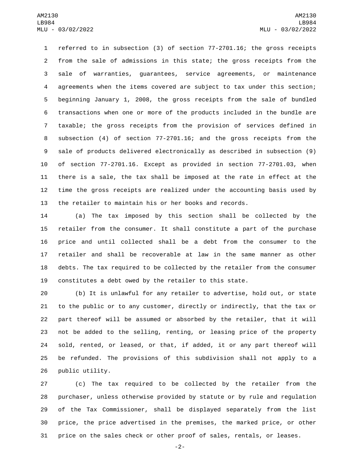referred to in subsection (3) of section 77-2701.16; the gross receipts from the sale of admissions in this state; the gross receipts from the sale of warranties, guarantees, service agreements, or maintenance agreements when the items covered are subject to tax under this section; beginning January 1, 2008, the gross receipts from the sale of bundled transactions when one or more of the products included in the bundle are taxable; the gross receipts from the provision of services defined in subsection (4) of section 77-2701.16; and the gross receipts from the sale of products delivered electronically as described in subsection (9) of section 77-2701.16. Except as provided in section 77-2701.03, when there is a sale, the tax shall be imposed at the rate in effect at the time the gross receipts are realized under the accounting basis used by the retailer to maintain his or her books and records.

 (a) The tax imposed by this section shall be collected by the retailer from the consumer. It shall constitute a part of the purchase price and until collected shall be a debt from the consumer to the retailer and shall be recoverable at law in the same manner as other debts. The tax required to be collected by the retailer from the consumer constitutes a debt owed by the retailer to this state.

 (b) It is unlawful for any retailer to advertise, hold out, or state to the public or to any customer, directly or indirectly, that the tax or part thereof will be assumed or absorbed by the retailer, that it will not be added to the selling, renting, or leasing price of the property sold, rented, or leased, or that, if added, it or any part thereof will be refunded. The provisions of this subdivision shall not apply to a 26 public utility.

 (c) The tax required to be collected by the retailer from the purchaser, unless otherwise provided by statute or by rule and regulation of the Tax Commissioner, shall be displayed separately from the list price, the price advertised in the premises, the marked price, or other price on the sales check or other proof of sales, rentals, or leases.

-2-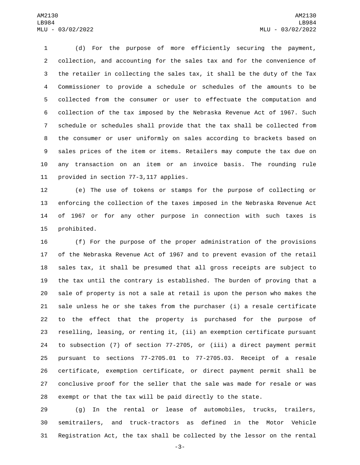(d) For the purpose of more efficiently securing the payment, collection, and accounting for the sales tax and for the convenience of the retailer in collecting the sales tax, it shall be the duty of the Tax Commissioner to provide a schedule or schedules of the amounts to be collected from the consumer or user to effectuate the computation and collection of the tax imposed by the Nebraska Revenue Act of 1967. Such schedule or schedules shall provide that the tax shall be collected from the consumer or user uniformly on sales according to brackets based on sales prices of the item or items. Retailers may compute the tax due on any transaction on an item or an invoice basis. The rounding rule 11 provided in section 77-3,117 applies.

 (e) The use of tokens or stamps for the purpose of collecting or enforcing the collection of the taxes imposed in the Nebraska Revenue Act of 1967 or for any other purpose in connection with such taxes is 15 prohibited.

 (f) For the purpose of the proper administration of the provisions of the Nebraska Revenue Act of 1967 and to prevent evasion of the retail sales tax, it shall be presumed that all gross receipts are subject to the tax until the contrary is established. The burden of proving that a sale of property is not a sale at retail is upon the person who makes the sale unless he or she takes from the purchaser (i) a resale certificate to the effect that the property is purchased for the purpose of reselling, leasing, or renting it, (ii) an exemption certificate pursuant to subsection (7) of section 77-2705, or (iii) a direct payment permit pursuant to sections 77-2705.01 to 77-2705.03. Receipt of a resale certificate, exemption certificate, or direct payment permit shall be conclusive proof for the seller that the sale was made for resale or was exempt or that the tax will be paid directly to the state.

 (g) In the rental or lease of automobiles, trucks, trailers, semitrailers, and truck-tractors as defined in the Motor Vehicle Registration Act, the tax shall be collected by the lessor on the rental

-3-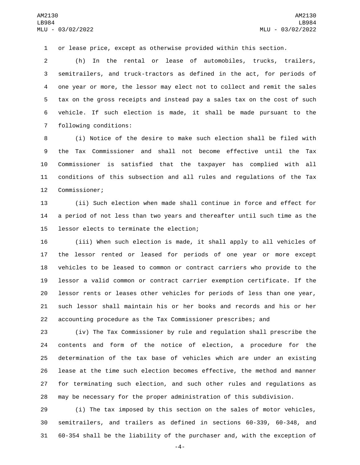or lease price, except as otherwise provided within this section.

 (h) In the rental or lease of automobiles, trucks, trailers, semitrailers, and truck-tractors as defined in the act, for periods of one year or more, the lessor may elect not to collect and remit the sales tax on the gross receipts and instead pay a sales tax on the cost of such vehicle. If such election is made, it shall be made pursuant to the 7 following conditions:

 (i) Notice of the desire to make such election shall be filed with the Tax Commissioner and shall not become effective until the Tax Commissioner is satisfied that the taxpayer has complied with all conditions of this subsection and all rules and regulations of the Tax 12 Commissioner;

 (ii) Such election when made shall continue in force and effect for a period of not less than two years and thereafter until such time as the 15 lessor elects to terminate the election;

 (iii) When such election is made, it shall apply to all vehicles of the lessor rented or leased for periods of one year or more except vehicles to be leased to common or contract carriers who provide to the lessor a valid common or contract carrier exemption certificate. If the lessor rents or leases other vehicles for periods of less than one year, such lessor shall maintain his or her books and records and his or her accounting procedure as the Tax Commissioner prescribes; and

 (iv) The Tax Commissioner by rule and regulation shall prescribe the contents and form of the notice of election, a procedure for the determination of the tax base of vehicles which are under an existing lease at the time such election becomes effective, the method and manner for terminating such election, and such other rules and regulations as may be necessary for the proper administration of this subdivision.

 (i) The tax imposed by this section on the sales of motor vehicles, semitrailers, and trailers as defined in sections 60-339, 60-348, and 60-354 shall be the liability of the purchaser and, with the exception of

-4-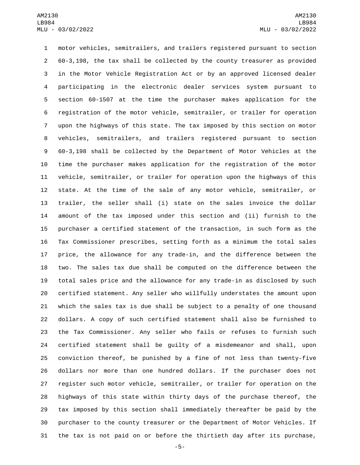motor vehicles, semitrailers, and trailers registered pursuant to section 60-3,198, the tax shall be collected by the county treasurer as provided in the Motor Vehicle Registration Act or by an approved licensed dealer participating in the electronic dealer services system pursuant to section 60-1507 at the time the purchaser makes application for the registration of the motor vehicle, semitrailer, or trailer for operation upon the highways of this state. The tax imposed by this section on motor vehicles, semitrailers, and trailers registered pursuant to section 60-3,198 shall be collected by the Department of Motor Vehicles at the time the purchaser makes application for the registration of the motor vehicle, semitrailer, or trailer for operation upon the highways of this state. At the time of the sale of any motor vehicle, semitrailer, or trailer, the seller shall (i) state on the sales invoice the dollar amount of the tax imposed under this section and (ii) furnish to the purchaser a certified statement of the transaction, in such form as the Tax Commissioner prescribes, setting forth as a minimum the total sales price, the allowance for any trade-in, and the difference between the two. The sales tax due shall be computed on the difference between the total sales price and the allowance for any trade-in as disclosed by such certified statement. Any seller who willfully understates the amount upon which the sales tax is due shall be subject to a penalty of one thousand dollars. A copy of such certified statement shall also be furnished to the Tax Commissioner. Any seller who fails or refuses to furnish such certified statement shall be guilty of a misdemeanor and shall, upon conviction thereof, be punished by a fine of not less than twenty-five dollars nor more than one hundred dollars. If the purchaser does not register such motor vehicle, semitrailer, or trailer for operation on the highways of this state within thirty days of the purchase thereof, the tax imposed by this section shall immediately thereafter be paid by the purchaser to the county treasurer or the Department of Motor Vehicles. If the tax is not paid on or before the thirtieth day after its purchase,

-5-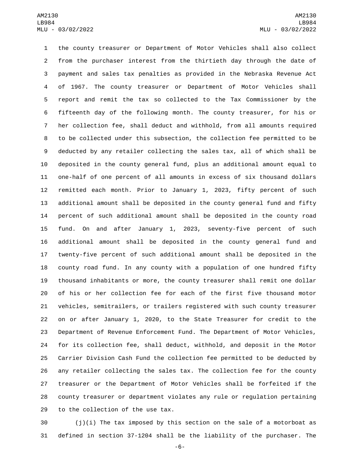the county treasurer or Department of Motor Vehicles shall also collect from the purchaser interest from the thirtieth day through the date of payment and sales tax penalties as provided in the Nebraska Revenue Act of 1967. The county treasurer or Department of Motor Vehicles shall report and remit the tax so collected to the Tax Commissioner by the fifteenth day of the following month. The county treasurer, for his or her collection fee, shall deduct and withhold, from all amounts required to be collected under this subsection, the collection fee permitted to be deducted by any retailer collecting the sales tax, all of which shall be deposited in the county general fund, plus an additional amount equal to one-half of one percent of all amounts in excess of six thousand dollars remitted each month. Prior to January 1, 2023, fifty percent of such additional amount shall be deposited in the county general fund and fifty percent of such additional amount shall be deposited in the county road fund. On and after January 1, 2023, seventy-five percent of such additional amount shall be deposited in the county general fund and twenty-five percent of such additional amount shall be deposited in the county road fund. In any county with a population of one hundred fifty thousand inhabitants or more, the county treasurer shall remit one dollar of his or her collection fee for each of the first five thousand motor vehicles, semitrailers, or trailers registered with such county treasurer on or after January 1, 2020, to the State Treasurer for credit to the Department of Revenue Enforcement Fund. The Department of Motor Vehicles, for its collection fee, shall deduct, withhold, and deposit in the Motor Carrier Division Cash Fund the collection fee permitted to be deducted by any retailer collecting the sales tax. The collection fee for the county treasurer or the Department of Motor Vehicles shall be forfeited if the county treasurer or department violates any rule or regulation pertaining 29 to the collection of the use tax.

 (j)(i) The tax imposed by this section on the sale of a motorboat as defined in section 37-1204 shall be the liability of the purchaser. The

-6-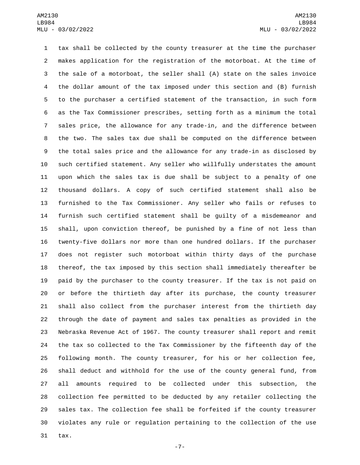tax shall be collected by the county treasurer at the time the purchaser makes application for the registration of the motorboat. At the time of the sale of a motorboat, the seller shall (A) state on the sales invoice the dollar amount of the tax imposed under this section and (B) furnish to the purchaser a certified statement of the transaction, in such form as the Tax Commissioner prescribes, setting forth as a minimum the total sales price, the allowance for any trade-in, and the difference between the two. The sales tax due shall be computed on the difference between the total sales price and the allowance for any trade-in as disclosed by such certified statement. Any seller who willfully understates the amount upon which the sales tax is due shall be subject to a penalty of one thousand dollars. A copy of such certified statement shall also be furnished to the Tax Commissioner. Any seller who fails or refuses to furnish such certified statement shall be guilty of a misdemeanor and shall, upon conviction thereof, be punished by a fine of not less than twenty-five dollars nor more than one hundred dollars. If the purchaser does not register such motorboat within thirty days of the purchase thereof, the tax imposed by this section shall immediately thereafter be paid by the purchaser to the county treasurer. If the tax is not paid on or before the thirtieth day after its purchase, the county treasurer shall also collect from the purchaser interest from the thirtieth day through the date of payment and sales tax penalties as provided in the Nebraska Revenue Act of 1967. The county treasurer shall report and remit the tax so collected to the Tax Commissioner by the fifteenth day of the following month. The county treasurer, for his or her collection fee, shall deduct and withhold for the use of the county general fund, from all amounts required to be collected under this subsection, the collection fee permitted to be deducted by any retailer collecting the sales tax. The collection fee shall be forfeited if the county treasurer violates any rule or regulation pertaining to the collection of the use tax.

-7-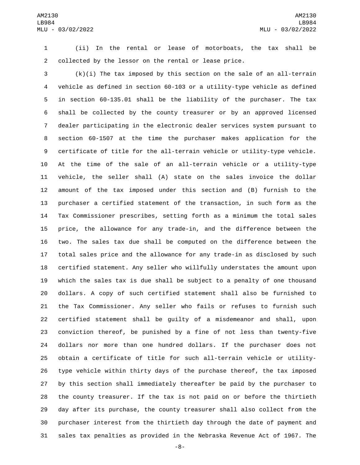(ii) In the rental or lease of motorboats, the tax shall be collected by the lessor on the rental or lease price.

 (k)(i) The tax imposed by this section on the sale of an all-terrain vehicle as defined in section 60-103 or a utility-type vehicle as defined in section 60-135.01 shall be the liability of the purchaser. The tax shall be collected by the county treasurer or by an approved licensed dealer participating in the electronic dealer services system pursuant to section 60-1507 at the time the purchaser makes application for the certificate of title for the all-terrain vehicle or utility-type vehicle. At the time of the sale of an all-terrain vehicle or a utility-type vehicle, the seller shall (A) state on the sales invoice the dollar amount of the tax imposed under this section and (B) furnish to the purchaser a certified statement of the transaction, in such form as the Tax Commissioner prescribes, setting forth as a minimum the total sales price, the allowance for any trade-in, and the difference between the two. The sales tax due shall be computed on the difference between the total sales price and the allowance for any trade-in as disclosed by such certified statement. Any seller who willfully understates the amount upon which the sales tax is due shall be subject to a penalty of one thousand dollars. A copy of such certified statement shall also be furnished to the Tax Commissioner. Any seller who fails or refuses to furnish such certified statement shall be guilty of a misdemeanor and shall, upon conviction thereof, be punished by a fine of not less than twenty-five dollars nor more than one hundred dollars. If the purchaser does not obtain a certificate of title for such all-terrain vehicle or utility- type vehicle within thirty days of the purchase thereof, the tax imposed by this section shall immediately thereafter be paid by the purchaser to the county treasurer. If the tax is not paid on or before the thirtieth day after its purchase, the county treasurer shall also collect from the purchaser interest from the thirtieth day through the date of payment and sales tax penalties as provided in the Nebraska Revenue Act of 1967. The

-8-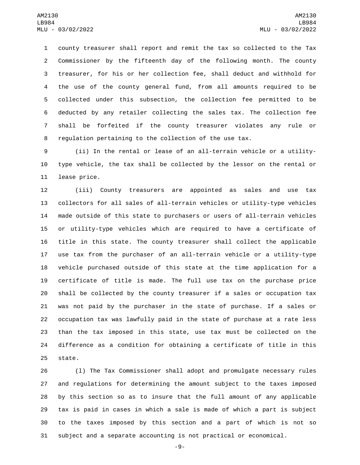county treasurer shall report and remit the tax so collected to the Tax Commissioner by the fifteenth day of the following month. The county treasurer, for his or her collection fee, shall deduct and withhold for the use of the county general fund, from all amounts required to be collected under this subsection, the collection fee permitted to be deducted by any retailer collecting the sales tax. The collection fee shall be forfeited if the county treasurer violates any rule or regulation pertaining to the collection of the use tax.

 (ii) In the rental or lease of an all-terrain vehicle or a utility- type vehicle, the tax shall be collected by the lessor on the rental or 11 lease price.

 (iii) County treasurers are appointed as sales and use tax collectors for all sales of all-terrain vehicles or utility-type vehicles made outside of this state to purchasers or users of all-terrain vehicles or utility-type vehicles which are required to have a certificate of title in this state. The county treasurer shall collect the applicable use tax from the purchaser of an all-terrain vehicle or a utility-type vehicle purchased outside of this state at the time application for a certificate of title is made. The full use tax on the purchase price shall be collected by the county treasurer if a sales or occupation tax was not paid by the purchaser in the state of purchase. If a sales or occupation tax was lawfully paid in the state of purchase at a rate less than the tax imposed in this state, use tax must be collected on the difference as a condition for obtaining a certificate of title in this 25 state.

 (l) The Tax Commissioner shall adopt and promulgate necessary rules and regulations for determining the amount subject to the taxes imposed by this section so as to insure that the full amount of any applicable tax is paid in cases in which a sale is made of which a part is subject to the taxes imposed by this section and a part of which is not so subject and a separate accounting is not practical or economical.

-9-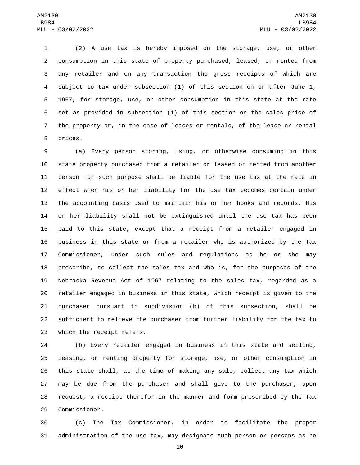(2) A use tax is hereby imposed on the storage, use, or other consumption in this state of property purchased, leased, or rented from any retailer and on any transaction the gross receipts of which are subject to tax under subsection (1) of this section on or after June 1, 1967, for storage, use, or other consumption in this state at the rate set as provided in subsection (1) of this section on the sales price of the property or, in the case of leases or rentals, of the lease or rental 8 prices.

 (a) Every person storing, using, or otherwise consuming in this state property purchased from a retailer or leased or rented from another person for such purpose shall be liable for the use tax at the rate in effect when his or her liability for the use tax becomes certain under the accounting basis used to maintain his or her books and records. His or her liability shall not be extinguished until the use tax has been paid to this state, except that a receipt from a retailer engaged in business in this state or from a retailer who is authorized by the Tax Commissioner, under such rules and regulations as he or she may prescribe, to collect the sales tax and who is, for the purposes of the Nebraska Revenue Act of 1967 relating to the sales tax, regarded as a retailer engaged in business in this state, which receipt is given to the purchaser pursuant to subdivision (b) of this subsection, shall be sufficient to relieve the purchaser from further liability for the tax to 23 which the receipt refers.

 (b) Every retailer engaged in business in this state and selling, leasing, or renting property for storage, use, or other consumption in this state shall, at the time of making any sale, collect any tax which may be due from the purchaser and shall give to the purchaser, upon request, a receipt therefor in the manner and form prescribed by the Tax 29 Commissioner.

 (c) The Tax Commissioner, in order to facilitate the proper administration of the use tax, may designate such person or persons as he

-10-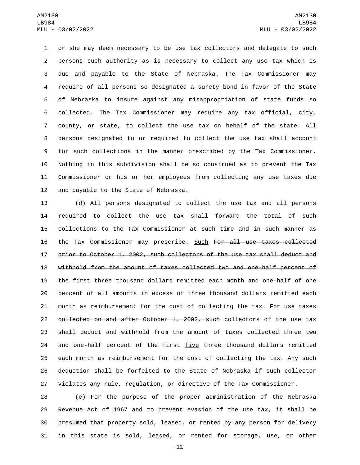or she may deem necessary to be use tax collectors and delegate to such persons such authority as is necessary to collect any use tax which is due and payable to the State of Nebraska. The Tax Commissioner may require of all persons so designated a surety bond in favor of the State of Nebraska to insure against any misappropriation of state funds so collected. The Tax Commissioner may require any tax official, city, county, or state, to collect the use tax on behalf of the state. All persons designated to or required to collect the use tax shall account for such collections in the manner prescribed by the Tax Commissioner. Nothing in this subdivision shall be so construed as to prevent the Tax Commissioner or his or her employees from collecting any use taxes due 12 and payable to the State of Nebraska.

 (d) All persons designated to collect the use tax and all persons required to collect the use tax shall forward the total of such collections to the Tax Commissioner at such time and in such manner as the Tax Commissioner may prescribe. Such For all use taxes collected prior to October 1, 2002, such collectors of the use tax shall deduct and withhold from the amount of taxes collected two and one-half percent of the first three thousand dollars remitted each month and one-half of one percent of all amounts in excess of three thousand dollars remitted each month as reimbursement for the cost of collecting the tax. For use taxes 22 collected on and after October 1, 2002, such collectors of the use tax 23 shall deduct and withhold from the amount of taxes collected three  $\text{two}$ 24 and one-half percent of the first five three thousand dollars remitted each month as reimbursement for the cost of collecting the tax. Any such deduction shall be forfeited to the State of Nebraska if such collector violates any rule, regulation, or directive of the Tax Commissioner.

 (e) For the purpose of the proper administration of the Nebraska Revenue Act of 1967 and to prevent evasion of the use tax, it shall be presumed that property sold, leased, or rented by any person for delivery in this state is sold, leased, or rented for storage, use, or other

-11-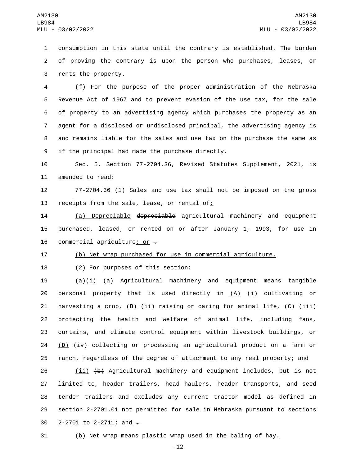1 consumption in this state until the contrary is established. The burden 2 of proving the contrary is upon the person who purchases, leases, or 3 rents the property.

 (f) For the purpose of the proper administration of the Nebraska Revenue Act of 1967 and to prevent evasion of the use tax, for the sale of property to an advertising agency which purchases the property as an agent for a disclosed or undisclosed principal, the advertising agency is and remains liable for the sales and use tax on the purchase the same as 9 if the principal had made the purchase directly.

10 Sec. 5. Section 77-2704.36, Revised Statutes Supplement, 2021, is 11 amended to read:

12 77-2704.36 (1) Sales and use tax shall not be imposed on the gross 13 receipts from the sale, lease, or rental of:

14 (a) Depreciable depreciable agricultural machinery and equipment 15 purchased, leased, or rented on or after January 1, 1993, for use in 16 commercial agriculture; or  $-$ 

17 (b) Net wrap purchased for use in commercial agriculture.

18 (2) For purposes of this section:

19 (a)(i)  $\{a\}$  Agricultural machinery and equipment means tangible 20 personal property that is used directly in  $(A)$   $(\pm)$  cultivating or 21 harvesting a crop,  $(B)$   $(\pm \frac{1}{2})$  raising or caring for animal life,  $(C)$   $(\pm \frac{1}{2})$ 22 protecting the health and welfare of animal life, including fans, 23 curtains, and climate control equipment within livestock buildings, or 24 (D)  $\overline{(\pm \nu)}$  collecting or processing an agricultural product on a farm or 25 ranch, regardless of the degree of attachment to any real property; and

 (ii) (b) Agricultural machinery and equipment includes, but is not limited to, header trailers, head haulers, header transports, and seed tender trailers and excludes any current tractor model as defined in section 2-2701.01 not permitted for sale in Nebraska pursuant to sections 30 2-2701 to 2-2711; and  $-$ 

31 (b) Net wrap means plastic wrap used in the baling of hay.

-12-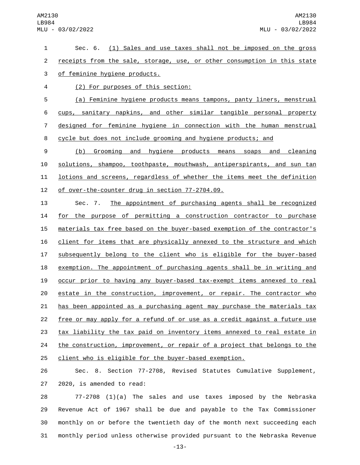Sec. 6. (1) Sales and use taxes shall not be imposed on the gross 2 receipts from the sale, storage, use, or other consumption in this state 3 of feminine hygiene products. (2) For purposes of this section:4 (a) Feminine hygiene products means tampons, panty liners, menstrual cups, sanitary napkins, and other similar tangible personal property designed for feminine hygiene in connection with the human menstrual cycle but does not include grooming and hygiene products; and (b) Grooming and hygiene products means soaps and cleaning solutions, shampoo, toothpaste, mouthwash, antiperspirants, and sun tan lotions and screens, regardless of whether the items meet the definition 12 of over-the-counter drug in section 77-2704.09. Sec. 7. The appointment of purchasing agents shall be recognized for the purpose of permitting a construction contractor to purchase materials tax free based on the buyer-based exemption of the contractor's client for items that are physically annexed to the structure and which subsequently belong to the client who is eligible for the buyer-based exemption. The appointment of purchasing agents shall be in writing and occur prior to having any buyer-based tax-exempt items annexed to real 20 estate in the construction, improvement, or repair. The contractor who has been appointed as a purchasing agent may purchase the materials tax free or may apply for a refund of or use as a credit against a future use tax liability the tax paid on inventory items annexed to real estate in 24 the construction, improvement, or repair of a project that belongs to the client who is eligible for the buyer-based exemption. Sec. 8. Section 77-2708, Revised Statutes Cumulative Supplement, 27 2020, is amended to read:

 77-2708 (1)(a) The sales and use taxes imposed by the Nebraska Revenue Act of 1967 shall be due and payable to the Tax Commissioner monthly on or before the twentieth day of the month next succeeding each monthly period unless otherwise provided pursuant to the Nebraska Revenue

-13-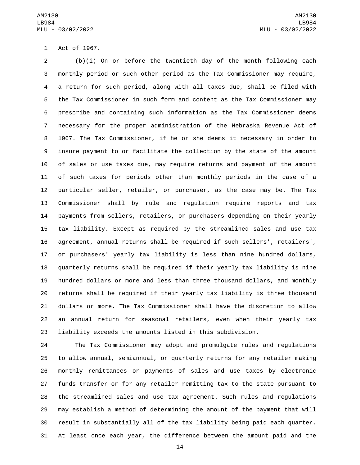1 Act of 1967.

 (b)(i) On or before the twentieth day of the month following each monthly period or such other period as the Tax Commissioner may require, a return for such period, along with all taxes due, shall be filed with the Tax Commissioner in such form and content as the Tax Commissioner may prescribe and containing such information as the Tax Commissioner deems necessary for the proper administration of the Nebraska Revenue Act of 1967. The Tax Commissioner, if he or she deems it necessary in order to insure payment to or facilitate the collection by the state of the amount of sales or use taxes due, may require returns and payment of the amount of such taxes for periods other than monthly periods in the case of a particular seller, retailer, or purchaser, as the case may be. The Tax Commissioner shall by rule and regulation require reports and tax payments from sellers, retailers, or purchasers depending on their yearly tax liability. Except as required by the streamlined sales and use tax agreement, annual returns shall be required if such sellers', retailers', or purchasers' yearly tax liability is less than nine hundred dollars, quarterly returns shall be required if their yearly tax liability is nine hundred dollars or more and less than three thousand dollars, and monthly returns shall be required if their yearly tax liability is three thousand dollars or more. The Tax Commissioner shall have the discretion to allow an annual return for seasonal retailers, even when their yearly tax liability exceeds the amounts listed in this subdivision.

 The Tax Commissioner may adopt and promulgate rules and regulations to allow annual, semiannual, or quarterly returns for any retailer making monthly remittances or payments of sales and use taxes by electronic funds transfer or for any retailer remitting tax to the state pursuant to the streamlined sales and use tax agreement. Such rules and regulations may establish a method of determining the amount of the payment that will result in substantially all of the tax liability being paid each quarter. At least once each year, the difference between the amount paid and the

-14-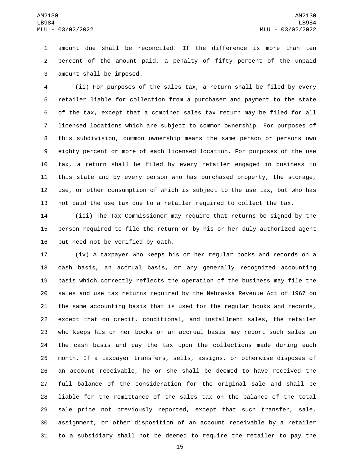amount due shall be reconciled. If the difference is more than ten percent of the amount paid, a penalty of fifty percent of the unpaid 3 amount shall be imposed.

 (ii) For purposes of the sales tax, a return shall be filed by every retailer liable for collection from a purchaser and payment to the state of the tax, except that a combined sales tax return may be filed for all licensed locations which are subject to common ownership. For purposes of this subdivision, common ownership means the same person or persons own eighty percent or more of each licensed location. For purposes of the use tax, a return shall be filed by every retailer engaged in business in this state and by every person who has purchased property, the storage, use, or other consumption of which is subject to the use tax, but who has not paid the use tax due to a retailer required to collect the tax.

 (iii) The Tax Commissioner may require that returns be signed by the person required to file the return or by his or her duly authorized agent 16 but need not be verified by oath.

 (iv) A taxpayer who keeps his or her regular books and records on a cash basis, an accrual basis, or any generally recognized accounting basis which correctly reflects the operation of the business may file the sales and use tax returns required by the Nebraska Revenue Act of 1967 on the same accounting basis that is used for the regular books and records, except that on credit, conditional, and installment sales, the retailer who keeps his or her books on an accrual basis may report such sales on the cash basis and pay the tax upon the collections made during each month. If a taxpayer transfers, sells, assigns, or otherwise disposes of an account receivable, he or she shall be deemed to have received the full balance of the consideration for the original sale and shall be liable for the remittance of the sales tax on the balance of the total sale price not previously reported, except that such transfer, sale, assignment, or other disposition of an account receivable by a retailer to a subsidiary shall not be deemed to require the retailer to pay the

-15-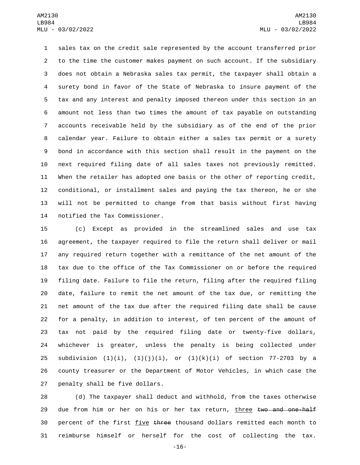sales tax on the credit sale represented by the account transferred prior to the time the customer makes payment on such account. If the subsidiary does not obtain a Nebraska sales tax permit, the taxpayer shall obtain a surety bond in favor of the State of Nebraska to insure payment of the tax and any interest and penalty imposed thereon under this section in an amount not less than two times the amount of tax payable on outstanding accounts receivable held by the subsidiary as of the end of the prior calendar year. Failure to obtain either a sales tax permit or a surety bond in accordance with this section shall result in the payment on the next required filing date of all sales taxes not previously remitted. When the retailer has adopted one basis or the other of reporting credit, conditional, or installment sales and paying the tax thereon, he or she will not be permitted to change from that basis without first having 14 notified the Tax Commissioner.

 (c) Except as provided in the streamlined sales and use tax agreement, the taxpayer required to file the return shall deliver or mail any required return together with a remittance of the net amount of the tax due to the office of the Tax Commissioner on or before the required filing date. Failure to file the return, filing after the required filing date, failure to remit the net amount of the tax due, or remitting the net amount of the tax due after the required filing date shall be cause for a penalty, in addition to interest, of ten percent of the amount of tax not paid by the required filing date or twenty-five dollars, whichever is greater, unless the penalty is being collected under 25 subdivision  $(1)(i)$ ,  $(1)(j)(i)$ , or  $(1)(k)(i)$  of section 77-2703 by a county treasurer or the Department of Motor Vehicles, in which case the 27 penalty shall be five dollars.

 (d) The taxpayer shall deduct and withhold, from the taxes otherwise 29 due from him or her on his or her tax return, three two and one-half 30 percent of the first five three thousand dollars remitted each month to reimburse himself or herself for the cost of collecting the tax.

-16-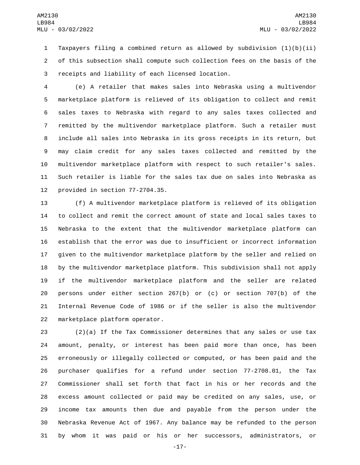Taxpayers filing a combined return as allowed by subdivision (1)(b)(ii) of this subsection shall compute such collection fees on the basis of the receipts and liability of each licensed location.3

 (e) A retailer that makes sales into Nebraska using a multivendor marketplace platform is relieved of its obligation to collect and remit sales taxes to Nebraska with regard to any sales taxes collected and remitted by the multivendor marketplace platform. Such a retailer must include all sales into Nebraska in its gross receipts in its return, but may claim credit for any sales taxes collected and remitted by the multivendor marketplace platform with respect to such retailer's sales. Such retailer is liable for the sales tax due on sales into Nebraska as 12 provided in section  $77-2704.35$ .

 (f) A multivendor marketplace platform is relieved of its obligation to collect and remit the correct amount of state and local sales taxes to Nebraska to the extent that the multivendor marketplace platform can establish that the error was due to insufficient or incorrect information given to the multivendor marketplace platform by the seller and relied on by the multivendor marketplace platform. This subdivision shall not apply if the multivendor marketplace platform and the seller are related persons under either section 267(b) or (c) or section 707(b) of the Internal Revenue Code of 1986 or if the seller is also the multivendor 22 marketplace platform operator.

 (2)(a) If the Tax Commissioner determines that any sales or use tax amount, penalty, or interest has been paid more than once, has been erroneously or illegally collected or computed, or has been paid and the purchaser qualifies for a refund under section 77-2708.01, the Tax Commissioner shall set forth that fact in his or her records and the excess amount collected or paid may be credited on any sales, use, or income tax amounts then due and payable from the person under the Nebraska Revenue Act of 1967. Any balance may be refunded to the person by whom it was paid or his or her successors, administrators, or

-17-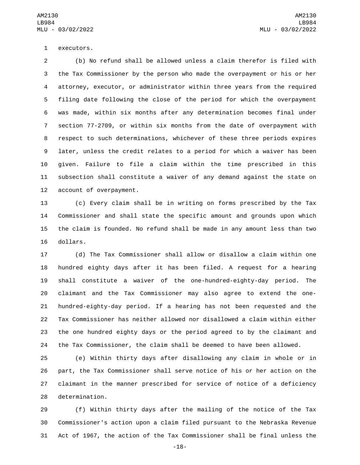1 executors.

 (b) No refund shall be allowed unless a claim therefor is filed with the Tax Commissioner by the person who made the overpayment or his or her attorney, executor, or administrator within three years from the required filing date following the close of the period for which the overpayment was made, within six months after any determination becomes final under section 77-2709, or within six months from the date of overpayment with respect to such determinations, whichever of these three periods expires later, unless the credit relates to a period for which a waiver has been given. Failure to file a claim within the time prescribed in this subsection shall constitute a waiver of any demand against the state on 12 account of overpayment.

 (c) Every claim shall be in writing on forms prescribed by the Tax Commissioner and shall state the specific amount and grounds upon which the claim is founded. No refund shall be made in any amount less than two 16 dollars.

 (d) The Tax Commissioner shall allow or disallow a claim within one hundred eighty days after it has been filed. A request for a hearing shall constitute a waiver of the one-hundred-eighty-day period. The claimant and the Tax Commissioner may also agree to extend the one- hundred-eighty-day period. If a hearing has not been requested and the Tax Commissioner has neither allowed nor disallowed a claim within either the one hundred eighty days or the period agreed to by the claimant and the Tax Commissioner, the claim shall be deemed to have been allowed.

 (e) Within thirty days after disallowing any claim in whole or in part, the Tax Commissioner shall serve notice of his or her action on the claimant in the manner prescribed for service of notice of a deficiency 28 determination.

 (f) Within thirty days after the mailing of the notice of the Tax Commissioner's action upon a claim filed pursuant to the Nebraska Revenue Act of 1967, the action of the Tax Commissioner shall be final unless the

-18-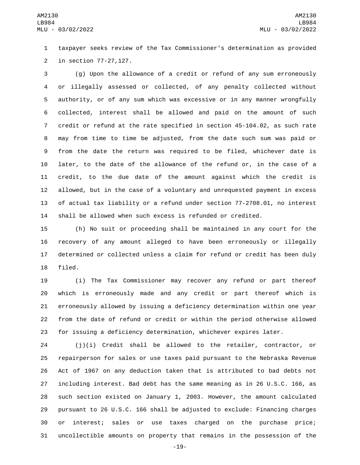taxpayer seeks review of the Tax Commissioner's determination as provided 2 in section 77-27, 127.

 (g) Upon the allowance of a credit or refund of any sum erroneously or illegally assessed or collected, of any penalty collected without authority, or of any sum which was excessive or in any manner wrongfully collected, interest shall be allowed and paid on the amount of such credit or refund at the rate specified in section 45-104.02, as such rate may from time to time be adjusted, from the date such sum was paid or from the date the return was required to be filed, whichever date is later, to the date of the allowance of the refund or, in the case of a credit, to the due date of the amount against which the credit is allowed, but in the case of a voluntary and unrequested payment in excess of actual tax liability or a refund under section 77-2708.01, no interest shall be allowed when such excess is refunded or credited.

 (h) No suit or proceeding shall be maintained in any court for the recovery of any amount alleged to have been erroneously or illegally determined or collected unless a claim for refund or credit has been duly 18 filed.

 (i) The Tax Commissioner may recover any refund or part thereof which is erroneously made and any credit or part thereof which is erroneously allowed by issuing a deficiency determination within one year from the date of refund or credit or within the period otherwise allowed for issuing a deficiency determination, whichever expires later.

 (j)(i) Credit shall be allowed to the retailer, contractor, or repairperson for sales or use taxes paid pursuant to the Nebraska Revenue Act of 1967 on any deduction taken that is attributed to bad debts not including interest. Bad debt has the same meaning as in 26 U.S.C. 166, as such section existed on January 1, 2003. However, the amount calculated pursuant to 26 U.S.C. 166 shall be adjusted to exclude: Financing charges or interest; sales or use taxes charged on the purchase price; uncollectible amounts on property that remains in the possession of the

-19-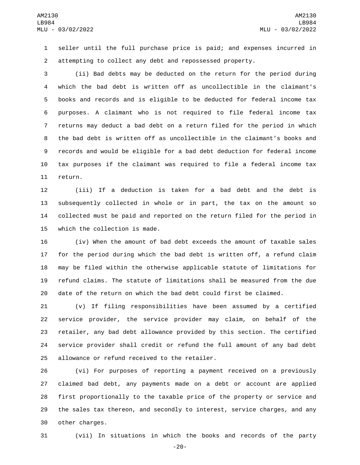seller until the full purchase price is paid; and expenses incurred in attempting to collect any debt and repossessed property.

 (ii) Bad debts may be deducted on the return for the period during which the bad debt is written off as uncollectible in the claimant's books and records and is eligible to be deducted for federal income tax purposes. A claimant who is not required to file federal income tax returns may deduct a bad debt on a return filed for the period in which the bad debt is written off as uncollectible in the claimant's books and records and would be eligible for a bad debt deduction for federal income tax purposes if the claimant was required to file a federal income tax 11 return.

 (iii) If a deduction is taken for a bad debt and the debt is subsequently collected in whole or in part, the tax on the amount so collected must be paid and reported on the return filed for the period in 15 which the collection is made.

 (iv) When the amount of bad debt exceeds the amount of taxable sales for the period during which the bad debt is written off, a refund claim may be filed within the otherwise applicable statute of limitations for refund claims. The statute of limitations shall be measured from the due date of the return on which the bad debt could first be claimed.

 (v) If filing responsibilities have been assumed by a certified service provider, the service provider may claim, on behalf of the retailer, any bad debt allowance provided by this section. The certified service provider shall credit or refund the full amount of any bad debt 25 allowance or refund received to the retailer.

 (vi) For purposes of reporting a payment received on a previously claimed bad debt, any payments made on a debt or account are applied first proportionally to the taxable price of the property or service and the sales tax thereon, and secondly to interest, service charges, and any 30 other charges.

(vii) In situations in which the books and records of the party

-20-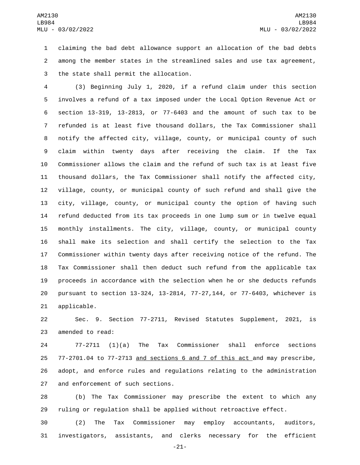claiming the bad debt allowance support an allocation of the bad debts among the member states in the streamlined sales and use tax agreement, 3 the state shall permit the allocation.

 (3) Beginning July 1, 2020, if a refund claim under this section involves a refund of a tax imposed under the Local Option Revenue Act or section 13-319, 13-2813, or 77-6403 and the amount of such tax to be refunded is at least five thousand dollars, the Tax Commissioner shall notify the affected city, village, county, or municipal county of such claim within twenty days after receiving the claim. If the Tax Commissioner allows the claim and the refund of such tax is at least five thousand dollars, the Tax Commissioner shall notify the affected city, village, county, or municipal county of such refund and shall give the city, village, county, or municipal county the option of having such refund deducted from its tax proceeds in one lump sum or in twelve equal monthly installments. The city, village, county, or municipal county shall make its selection and shall certify the selection to the Tax Commissioner within twenty days after receiving notice of the refund. The Tax Commissioner shall then deduct such refund from the applicable tax proceeds in accordance with the selection when he or she deducts refunds pursuant to section 13-324, 13-2814, 77-27,144, or 77-6403, whichever is 21 applicable.

 Sec. 9. Section 77-2711, Revised Statutes Supplement, 2021, is 23 amended to read:

 77-2711 (1)(a) The Tax Commissioner shall enforce sections 77-2701.04 to 77-2713 and sections 6 and 7 of this act and may prescribe, adopt, and enforce rules and regulations relating to the administration 27 and enforcement of such sections.

 (b) The Tax Commissioner may prescribe the extent to which any ruling or regulation shall be applied without retroactive effect.

 (2) The Tax Commissioner may employ accountants, auditors, investigators, assistants, and clerks necessary for the efficient

-21-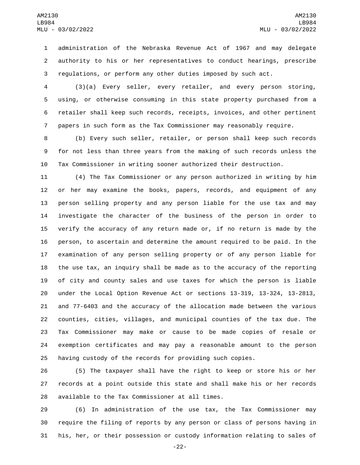administration of the Nebraska Revenue Act of 1967 and may delegate authority to his or her representatives to conduct hearings, prescribe regulations, or perform any other duties imposed by such act.

 (3)(a) Every seller, every retailer, and every person storing, using, or otherwise consuming in this state property purchased from a retailer shall keep such records, receipts, invoices, and other pertinent papers in such form as the Tax Commissioner may reasonably require.

 (b) Every such seller, retailer, or person shall keep such records for not less than three years from the making of such records unless the Tax Commissioner in writing sooner authorized their destruction.

 (4) The Tax Commissioner or any person authorized in writing by him or her may examine the books, papers, records, and equipment of any person selling property and any person liable for the use tax and may investigate the character of the business of the person in order to verify the accuracy of any return made or, if no return is made by the person, to ascertain and determine the amount required to be paid. In the examination of any person selling property or of any person liable for the use tax, an inquiry shall be made as to the accuracy of the reporting of city and county sales and use taxes for which the person is liable under the Local Option Revenue Act or sections 13-319, 13-324, 13-2813, and 77-6403 and the accuracy of the allocation made between the various counties, cities, villages, and municipal counties of the tax due. The Tax Commissioner may make or cause to be made copies of resale or exemption certificates and may pay a reasonable amount to the person having custody of the records for providing such copies.

 (5) The taxpayer shall have the right to keep or store his or her records at a point outside this state and shall make his or her records 28 available to the Tax Commissioner at all times.

 (6) In administration of the use tax, the Tax Commissioner may require the filing of reports by any person or class of persons having in his, her, or their possession or custody information relating to sales of

-22-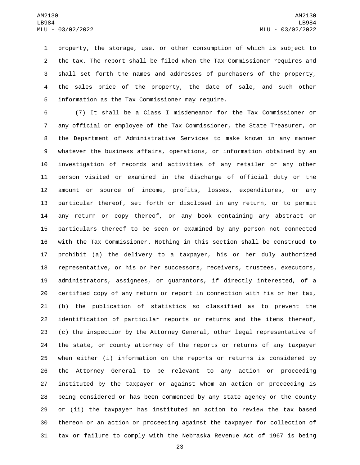property, the storage, use, or other consumption of which is subject to the tax. The report shall be filed when the Tax Commissioner requires and shall set forth the names and addresses of purchasers of the property, the sales price of the property, the date of sale, and such other 5 information as the Tax Commissioner may require.

 (7) It shall be a Class I misdemeanor for the Tax Commissioner or any official or employee of the Tax Commissioner, the State Treasurer, or the Department of Administrative Services to make known in any manner whatever the business affairs, operations, or information obtained by an investigation of records and activities of any retailer or any other person visited or examined in the discharge of official duty or the amount or source of income, profits, losses, expenditures, or any particular thereof, set forth or disclosed in any return, or to permit any return or copy thereof, or any book containing any abstract or particulars thereof to be seen or examined by any person not connected with the Tax Commissioner. Nothing in this section shall be construed to prohibit (a) the delivery to a taxpayer, his or her duly authorized representative, or his or her successors, receivers, trustees, executors, administrators, assignees, or guarantors, if directly interested, of a certified copy of any return or report in connection with his or her tax, (b) the publication of statistics so classified as to prevent the identification of particular reports or returns and the items thereof, (c) the inspection by the Attorney General, other legal representative of the state, or county attorney of the reports or returns of any taxpayer when either (i) information on the reports or returns is considered by the Attorney General to be relevant to any action or proceeding instituted by the taxpayer or against whom an action or proceeding is being considered or has been commenced by any state agency or the county or (ii) the taxpayer has instituted an action to review the tax based thereon or an action or proceeding against the taxpayer for collection of tax or failure to comply with the Nebraska Revenue Act of 1967 is being

-23-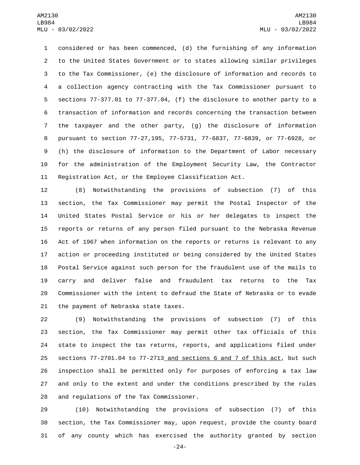considered or has been commenced, (d) the furnishing of any information to the United States Government or to states allowing similar privileges to the Tax Commissioner, (e) the disclosure of information and records to a collection agency contracting with the Tax Commissioner pursuant to sections 77-377.01 to 77-377.04, (f) the disclosure to another party to a transaction of information and records concerning the transaction between the taxpayer and the other party, (g) the disclosure of information pursuant to section 77-27,195, 77-5731, 77-6837, 77-6839, or 77-6928, or (h) the disclosure of information to the Department of Labor necessary for the administration of the Employment Security Law, the Contractor Registration Act, or the Employee Classification Act.

 (8) Notwithstanding the provisions of subsection (7) of this section, the Tax Commissioner may permit the Postal Inspector of the United States Postal Service or his or her delegates to inspect the reports or returns of any person filed pursuant to the Nebraska Revenue Act of 1967 when information on the reports or returns is relevant to any action or proceeding instituted or being considered by the United States Postal Service against such person for the fraudulent use of the mails to carry and deliver false and fraudulent tax returns to the Tax Commissioner with the intent to defraud the State of Nebraska or to evade 21 the payment of Nebraska state taxes.

 (9) Notwithstanding the provisions of subsection (7) of this section, the Tax Commissioner may permit other tax officials of this state to inspect the tax returns, reports, and applications filed under sections 77-2701.04 to 77-2713 and sections 6 and 7 of this act, but such inspection shall be permitted only for purposes of enforcing a tax law and only to the extent and under the conditions prescribed by the rules 28 and regulations of the Tax Commissioner.

 (10) Notwithstanding the provisions of subsection (7) of this section, the Tax Commissioner may, upon request, provide the county board of any county which has exercised the authority granted by section

-24-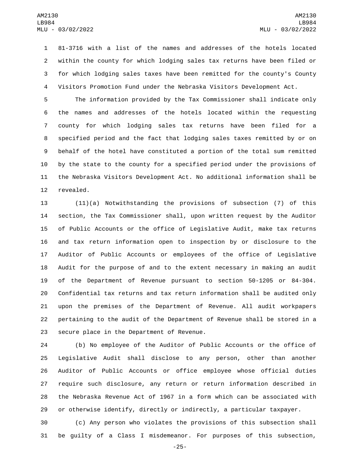81-3716 with a list of the names and addresses of the hotels located within the county for which lodging sales tax returns have been filed or for which lodging sales taxes have been remitted for the county's County Visitors Promotion Fund under the Nebraska Visitors Development Act.

 The information provided by the Tax Commissioner shall indicate only the names and addresses of the hotels located within the requesting county for which lodging sales tax returns have been filed for a specified period and the fact that lodging sales taxes remitted by or on behalf of the hotel have constituted a portion of the total sum remitted by the state to the county for a specified period under the provisions of the Nebraska Visitors Development Act. No additional information shall be 12 revealed.

 (11)(a) Notwithstanding the provisions of subsection (7) of this section, the Tax Commissioner shall, upon written request by the Auditor of Public Accounts or the office of Legislative Audit, make tax returns and tax return information open to inspection by or disclosure to the Auditor of Public Accounts or employees of the office of Legislative Audit for the purpose of and to the extent necessary in making an audit of the Department of Revenue pursuant to section 50-1205 or 84-304. Confidential tax returns and tax return information shall be audited only upon the premises of the Department of Revenue. All audit workpapers pertaining to the audit of the Department of Revenue shall be stored in a 23 secure place in the Department of Revenue.

 (b) No employee of the Auditor of Public Accounts or the office of Legislative Audit shall disclose to any person, other than another Auditor of Public Accounts or office employee whose official duties require such disclosure, any return or return information described in the Nebraska Revenue Act of 1967 in a form which can be associated with or otherwise identify, directly or indirectly, a particular taxpayer.

 (c) Any person who violates the provisions of this subsection shall be guilty of a Class I misdemeanor. For purposes of this subsection,

-25-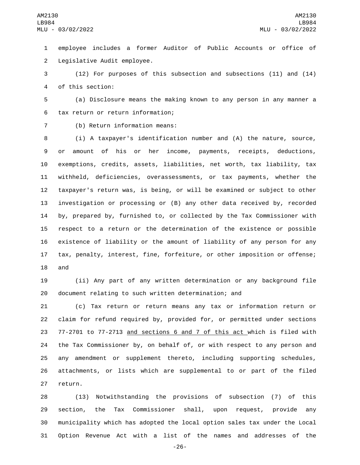employee includes a former Auditor of Public Accounts or office of 2 Legislative Audit employee.

 (12) For purposes of this subsection and subsections (11) and (14) 4 of this section:

 (a) Disclosure means the making known to any person in any manner a 6 tax return or return information;

7 (b) Return information means:

 (i) A taxpayer's identification number and (A) the nature, source, or amount of his or her income, payments, receipts, deductions, exemptions, credits, assets, liabilities, net worth, tax liability, tax withheld, deficiencies, overassessments, or tax payments, whether the taxpayer's return was, is being, or will be examined or subject to other investigation or processing or (B) any other data received by, recorded by, prepared by, furnished to, or collected by the Tax Commissioner with respect to a return or the determination of the existence or possible existence of liability or the amount of liability of any person for any tax, penalty, interest, fine, forfeiture, or other imposition or offense; 18 and

 (ii) Any part of any written determination or any background file document relating to such written determination; and

 (c) Tax return or return means any tax or information return or claim for refund required by, provided for, or permitted under sections 77-2701 to 77-2713 and sections 6 and 7 of this act which is filed with the Tax Commissioner by, on behalf of, or with respect to any person and any amendment or supplement thereto, including supporting schedules, attachments, or lists which are supplemental to or part of the filed 27 return.

 (13) Notwithstanding the provisions of subsection (7) of this section, the Tax Commissioner shall, upon request, provide any municipality which has adopted the local option sales tax under the Local Option Revenue Act with a list of the names and addresses of the

-26-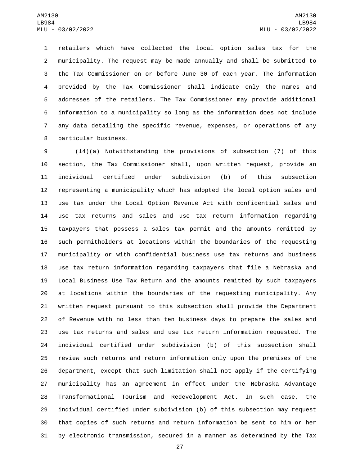retailers which have collected the local option sales tax for the municipality. The request may be made annually and shall be submitted to the Tax Commissioner on or before June 30 of each year. The information provided by the Tax Commissioner shall indicate only the names and addresses of the retailers. The Tax Commissioner may provide additional information to a municipality so long as the information does not include any data detailing the specific revenue, expenses, or operations of any 8 particular business.

 (14)(a) Notwithstanding the provisions of subsection (7) of this section, the Tax Commissioner shall, upon written request, provide an individual certified under subdivision (b) of this subsection representing a municipality which has adopted the local option sales and use tax under the Local Option Revenue Act with confidential sales and use tax returns and sales and use tax return information regarding taxpayers that possess a sales tax permit and the amounts remitted by such permitholders at locations within the boundaries of the requesting municipality or with confidential business use tax returns and business use tax return information regarding taxpayers that file a Nebraska and Local Business Use Tax Return and the amounts remitted by such taxpayers at locations within the boundaries of the requesting municipality. Any written request pursuant to this subsection shall provide the Department of Revenue with no less than ten business days to prepare the sales and use tax returns and sales and use tax return information requested. The individual certified under subdivision (b) of this subsection shall review such returns and return information only upon the premises of the department, except that such limitation shall not apply if the certifying municipality has an agreement in effect under the Nebraska Advantage Transformational Tourism and Redevelopment Act. In such case, the individual certified under subdivision (b) of this subsection may request that copies of such returns and return information be sent to him or her by electronic transmission, secured in a manner as determined by the Tax

-27-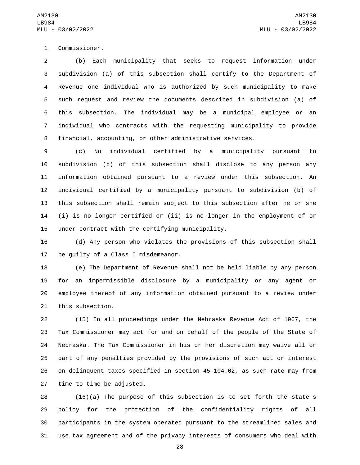1 Commissioner.

 (b) Each municipality that seeks to request information under subdivision (a) of this subsection shall certify to the Department of Revenue one individual who is authorized by such municipality to make such request and review the documents described in subdivision (a) of this subsection. The individual may be a municipal employee or an individual who contracts with the requesting municipality to provide financial, accounting, or other administrative services.

 (c) No individual certified by a municipality pursuant to subdivision (b) of this subsection shall disclose to any person any information obtained pursuant to a review under this subsection. An individual certified by a municipality pursuant to subdivision (b) of this subsection shall remain subject to this subsection after he or she (i) is no longer certified or (ii) is no longer in the employment of or 15 under contract with the certifying municipality.

 (d) Any person who violates the provisions of this subsection shall 17 be quilty of a Class I misdemeanor.

 (e) The Department of Revenue shall not be held liable by any person for an impermissible disclosure by a municipality or any agent or employee thereof of any information obtained pursuant to a review under 21 this subsection.

 (15) In all proceedings under the Nebraska Revenue Act of 1967, the Tax Commissioner may act for and on behalf of the people of the State of Nebraska. The Tax Commissioner in his or her discretion may waive all or part of any penalties provided by the provisions of such act or interest on delinquent taxes specified in section 45-104.02, as such rate may from 27 time to time be adjusted.

 (16)(a) The purpose of this subsection is to set forth the state's policy for the protection of the confidentiality rights of all participants in the system operated pursuant to the streamlined sales and use tax agreement and of the privacy interests of consumers who deal with

-28-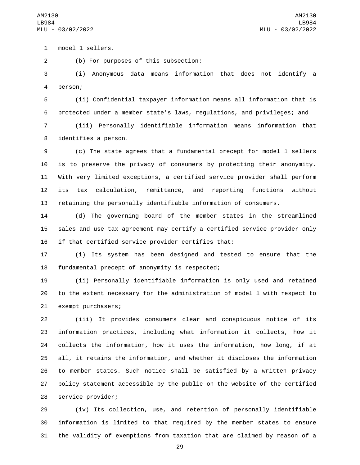model 1 sellers.1

(b) For purposes of this subsection:2

 (i) Anonymous data means information that does not identify a person;4

 (ii) Confidential taxpayer information means all information that is protected under a member state's laws, regulations, and privileges; and

 (iii) Personally identifiable information means information that 8 identifies a person.

 (c) The state agrees that a fundamental precept for model 1 sellers is to preserve the privacy of consumers by protecting their anonymity. With very limited exceptions, a certified service provider shall perform its tax calculation, remittance, and reporting functions without retaining the personally identifiable information of consumers.

 (d) The governing board of the member states in the streamlined sales and use tax agreement may certify a certified service provider only if that certified service provider certifies that:

 (i) Its system has been designed and tested to ensure that the 18 fundamental precept of anonymity is respected;

 (ii) Personally identifiable information is only used and retained to the extent necessary for the administration of model 1 with respect to 21 exempt purchasers;

 (iii) It provides consumers clear and conspicuous notice of its information practices, including what information it collects, how it collects the information, how it uses the information, how long, if at all, it retains the information, and whether it discloses the information to member states. Such notice shall be satisfied by a written privacy policy statement accessible by the public on the website of the certified 28 service provider;

 (iv) Its collection, use, and retention of personally identifiable information is limited to that required by the member states to ensure the validity of exemptions from taxation that are claimed by reason of a

-29-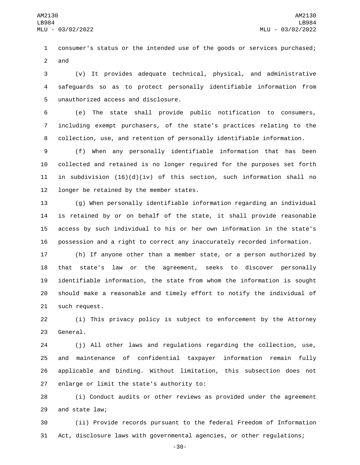consumer's status or the intended use of the goods or services purchased; 2 and

 (v) It provides adequate technical, physical, and administrative safeguards so as to protect personally identifiable information from 5 unauthorized access and disclosure.

 (e) The state shall provide public notification to consumers, including exempt purchasers, of the state's practices relating to the collection, use, and retention of personally identifiable information.

 (f) When any personally identifiable information that has been collected and retained is no longer required for the purposes set forth 11 in subdivision  $(16)(d)(iv)$  of this section, such information shall no 12 longer be retained by the member states.

 (g) When personally identifiable information regarding an individual is retained by or on behalf of the state, it shall provide reasonable access by such individual to his or her own information in the state's possession and a right to correct any inaccurately recorded information.

 (h) If anyone other than a member state, or a person authorized by that state's law or the agreement, seeks to discover personally identifiable information, the state from whom the information is sought should make a reasonable and timely effort to notify the individual of 21 such request.

 (i) This privacy policy is subject to enforcement by the Attorney 23 General.

 (j) All other laws and regulations regarding the collection, use, and maintenance of confidential taxpayer information remain fully applicable and binding. Without limitation, this subsection does not 27 enlarge or limit the state's authority to:

 (i) Conduct audits or other reviews as provided under the agreement 29 and state law;

 (ii) Provide records pursuant to the federal Freedom of Information Act, disclosure laws with governmental agencies, or other regulations;

-30-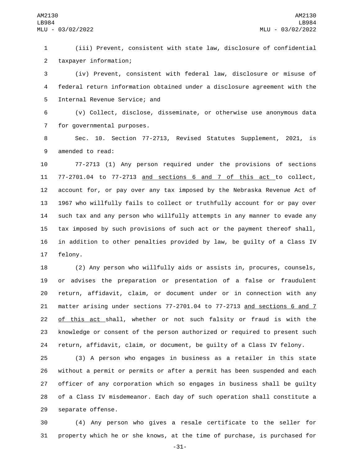(iii) Prevent, consistent with state law, disclosure of confidential taxpayer information;2

 (iv) Prevent, consistent with federal law, disclosure or misuse of federal return information obtained under a disclosure agreement with the 5 Internal Revenue Service; and

 (v) Collect, disclose, disseminate, or otherwise use anonymous data 7 for governmental purposes.

 Sec. 10. Section 77-2713, Revised Statutes Supplement, 2021, is 9 amended to read:

 77-2713 (1) Any person required under the provisions of sections 77-2701.04 to 77-2713 and sections 6 and 7 of this act to collect, account for, or pay over any tax imposed by the Nebraska Revenue Act of 1967 who willfully fails to collect or truthfully account for or pay over such tax and any person who willfully attempts in any manner to evade any tax imposed by such provisions of such act or the payment thereof shall, in addition to other penalties provided by law, be guilty of a Class IV 17 felony.

 (2) Any person who willfully aids or assists in, procures, counsels, or advises the preparation or presentation of a false or fraudulent return, affidavit, claim, or document under or in connection with any matter arising under sections 77-2701.04 to 77-2713 and sections 6 and 7 of this act shall, whether or not such falsity or fraud is with the knowledge or consent of the person authorized or required to present such return, affidavit, claim, or document, be guilty of a Class IV felony.

 (3) A person who engages in business as a retailer in this state without a permit or permits or after a permit has been suspended and each officer of any corporation which so engages in business shall be guilty of a Class IV misdemeanor. Each day of such operation shall constitute a 29 separate offense.

 (4) Any person who gives a resale certificate to the seller for property which he or she knows, at the time of purchase, is purchased for

-31-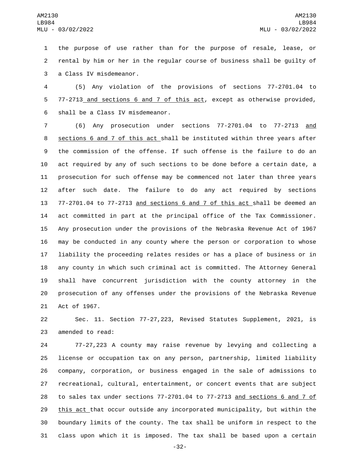the purpose of use rather than for the purpose of resale, lease, or rental by him or her in the regular course of business shall be guilty of 3 a Class IV misdemeanor.

 (5) Any violation of the provisions of sections 77-2701.04 to 77-2713 and sections 6 and 7 of this act, except as otherwise provided, 6 shall be a Class IV misdemeanor.

 (6) Any prosecution under sections 77-2701.04 to 77-2713 and sections 6 and 7 of this act shall be instituted within three years after the commission of the offense. If such offense is the failure to do an act required by any of such sections to be done before a certain date, a prosecution for such offense may be commenced not later than three years after such date. The failure to do any act required by sections 77-2701.04 to 77-2713 and sections 6 and 7 of this act shall be deemed an act committed in part at the principal office of the Tax Commissioner. Any prosecution under the provisions of the Nebraska Revenue Act of 1967 may be conducted in any county where the person or corporation to whose liability the proceeding relates resides or has a place of business or in any county in which such criminal act is committed. The Attorney General shall have concurrent jurisdiction with the county attorney in the prosecution of any offenses under the provisions of the Nebraska Revenue 21 Act of 1967.

 Sec. 11. Section 77-27,223, Revised Statutes Supplement, 2021, is 23 amended to read:

 77-27,223 A county may raise revenue by levying and collecting a license or occupation tax on any person, partnership, limited liability company, corporation, or business engaged in the sale of admissions to recreational, cultural, entertainment, or concert events that are subject to sales tax under sections 77-2701.04 to 77-2713 and sections 6 and 7 of this act that occur outside any incorporated municipality, but within the boundary limits of the county. The tax shall be uniform in respect to the class upon which it is imposed. The tax shall be based upon a certain

-32-